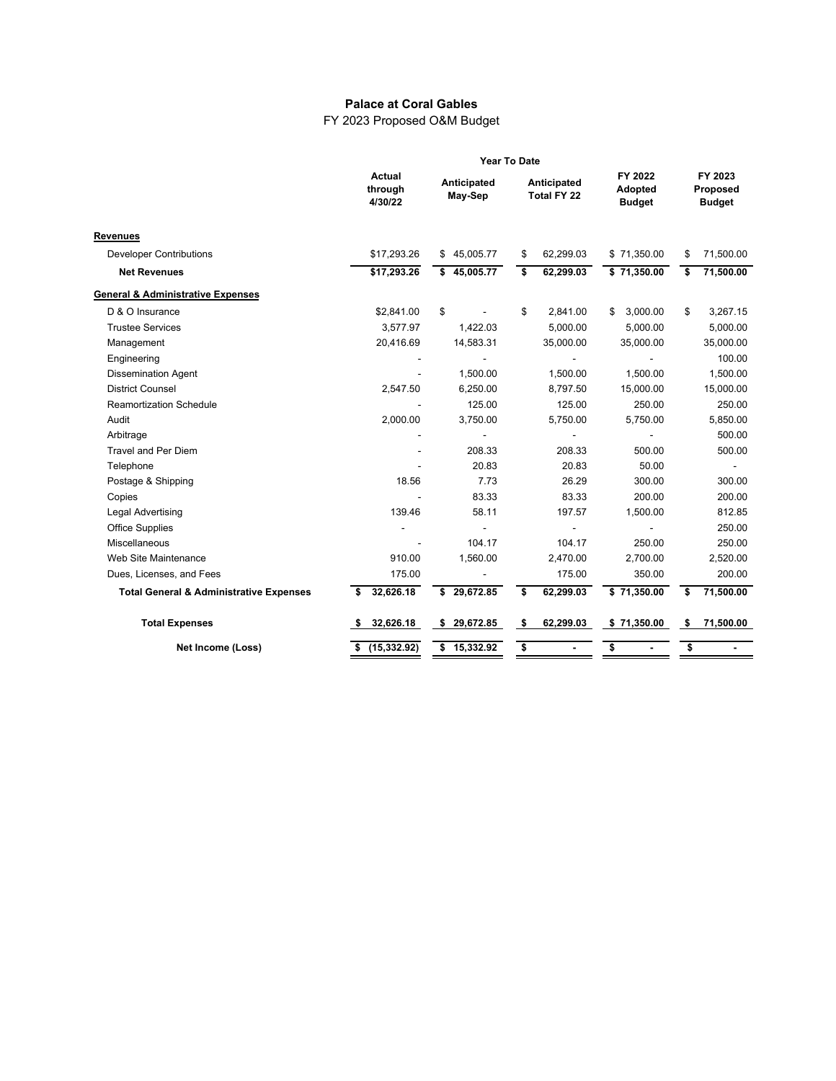## **Palace at Coral Gables**

FY 2023 Proposed O&M Budget

|                                                    | <b>Year To Date</b>          |                          |                                   |                                     |                                      |
|----------------------------------------------------|------------------------------|--------------------------|-----------------------------------|-------------------------------------|--------------------------------------|
|                                                    | Actual<br>through<br>4/30/22 | Anticipated<br>May-Sep   | Anticipated<br><b>Total FY 22</b> | FY 2022<br>Adopted<br><b>Budget</b> | FY 2023<br>Proposed<br><b>Budget</b> |
| <b>Revenues</b>                                    |                              |                          |                                   |                                     |                                      |
| <b>Developer Contributions</b>                     | \$17,293.26                  | \$45,005.77              | 62,299.03<br>\$                   | \$71,350.00                         | 71,500.00<br>\$                      |
| <b>Net Revenues</b>                                | \$17,293.26                  | \$45,005.77              | \$<br>62,299.03                   | \$71,350.00                         | \$<br>71,500.00                      |
| General & Administrative Expenses                  |                              |                          |                                   |                                     |                                      |
| D & O Insurance                                    | \$2,841.00                   | \$                       | \$<br>2,841.00                    | 3,000.00<br>\$                      | \$<br>3,267.15                       |
| <b>Trustee Services</b>                            | 3,577.97                     | 1,422.03                 | 5,000.00                          | 5,000.00                            | 5,000.00                             |
| Management                                         | 20,416.69                    | 14,583.31                | 35,000.00                         | 35,000.00                           | 35,000.00                            |
| Engineering                                        |                              |                          |                                   |                                     | 100.00                               |
| <b>Dissemination Agent</b>                         |                              | 1,500.00                 | 1,500.00                          | 1,500.00                            | 1,500.00                             |
| <b>District Counsel</b>                            | 2,547.50                     | 6,250.00                 | 8,797.50                          | 15,000.00                           | 15,000.00                            |
| <b>Reamortization Schedule</b>                     |                              | 125.00                   | 125.00                            | 250.00                              | 250.00                               |
| Audit                                              | 2,000.00                     | 3,750.00                 | 5,750.00                          | 5,750.00                            | 5,850.00                             |
| Arbitrage                                          |                              | $\overline{\phantom{a}}$ |                                   |                                     | 500.00                               |
| <b>Travel and Per Diem</b>                         |                              | 208.33                   | 208.33                            | 500.00                              | 500.00                               |
| Telephone                                          |                              | 20.83                    | 20.83                             | 50.00                               | $\frac{1}{2}$                        |
| Postage & Shipping                                 | 18.56                        | 7.73                     | 26.29                             | 300.00                              | 300.00                               |
| Copies                                             |                              | 83.33                    | 83.33                             | 200.00                              | 200.00                               |
| <b>Legal Advertising</b>                           | 139.46                       | 58.11                    | 197.57                            | 1,500.00                            | 812.85                               |
| <b>Office Supplies</b>                             |                              |                          |                                   |                                     | 250.00                               |
| Miscellaneous                                      |                              | 104.17                   | 104.17                            | 250.00                              | 250.00                               |
| Web Site Maintenance                               | 910.00                       | 1,560.00                 | 2,470.00                          | 2,700.00                            | 2,520.00                             |
| Dues, Licenses, and Fees                           | 175.00                       |                          | 175.00                            | 350.00                              | 200.00                               |
| <b>Total General &amp; Administrative Expenses</b> | 32,626.18                    | 29,672.85<br>s           | \$<br>62,299.03                   | \$71,350.00                         | 71,500.00<br>\$                      |
| <b>Total Expenses</b>                              | 32,626.18<br>-S              | \$29,672.85              | 62,299.03<br>-\$                  | \$71,350.00                         | 71,500.00<br>-\$                     |
| Net Income (Loss)                                  | $$$ (15,332.92)              | \$15,332.92              | \$                                | \$                                  | \$                                   |